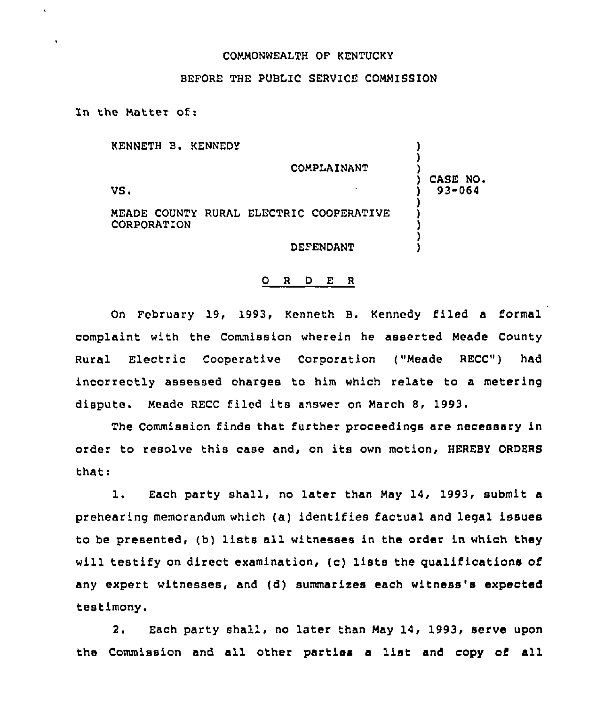## COMMONWEALTH OF KENTUCKY

## BEFORE THE PUBLIC SERVICE COMMISSION

In the Matter of:

 $\bullet$ 

| KENNETH B. KENNEDY |                                         |            |
|--------------------|-----------------------------------------|------------|
|                    | COMPLAINANT                             | CASE NO.   |
| VS.                |                                         | $93 - 064$ |
| CORPORATION        | MEADE COUNTY RURAL ELECTRIC COOPERATIVE |            |
|                    | DEFENDANT                               |            |

## O R D E R

On February 19, 1993, Kenneth B. Kennedy filed a formal complaint with the Commission wherein he asserted Meade County Rural Electric Cooperative Corporation ("Meade RECC") had incorrectly assessed charges to him which relate to a metering dispute. Meade RECC filed its answer on March 8, 1993.

The Commission finds that further proceedings are necessary in order to resolve this case and, on its own motion, HEREBY ORDERS that:

l. Each party shall, no later than May 14, 1993, submit <sup>a</sup> prehearing memorandum which {a) identifies factual and legal issues to be presented, (b) lists all witnesses in the order in which they will testify on direct examination, (c) lists the qualifications of any expert witnesses, and (d) summarizes each witness's expected testimony.

2. Each party shall, no later than May 14, 1993, serve upon the Commission and all other parties a list and copy of all